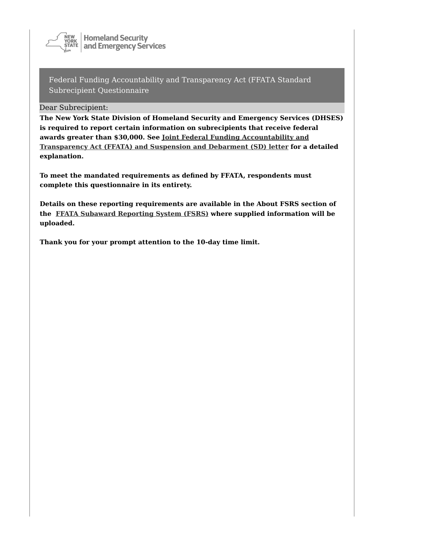

**Homeland Security** and Emergency Services

Federal Funding Accountability and Transparency Act (FFATA Standard Subrecipient Questionnaire

Dear Subrecipient:

**The New York State Division of Homeland Security and Emergency Services (DHSES)** is required to report certain information on subrecipients that receive federal awards greater than \$30,000. See Joint Federal Funding Accountability and **Transparency Act (FFATA) and Suspension and Debarment (SD) letter for a detailed explanation.**

To meet the mandated requirements as defined by FFATA, respondents must complete this questionnaire in its entirety.

Details on these reporting requirements are available in the About FSRS section of **the FFATA Subaward Reporting System (FSRS) where supplied information will be uploaded.**

Thank you for your prompt attention to the 10-day time limit.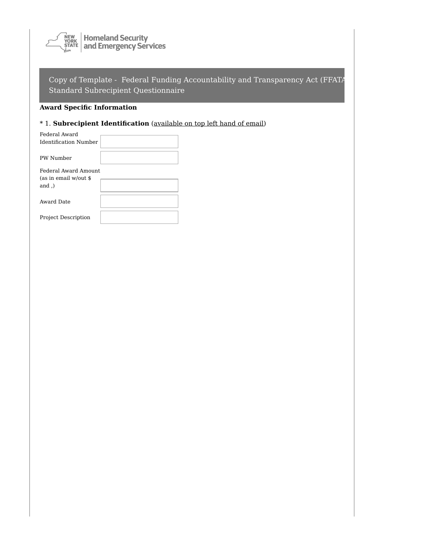

# **Award Specific Information**

# \* 1. **Subrecipient Identification** (available on top left hand of email)

| Federal Award              |  |
|----------------------------|--|
| Identification Number      |  |
| PW Number                  |  |
| Federal Award Amount       |  |
| (as in email w/out \$      |  |
| $and$ .)                   |  |
| Award Date                 |  |
| <b>Project Description</b> |  |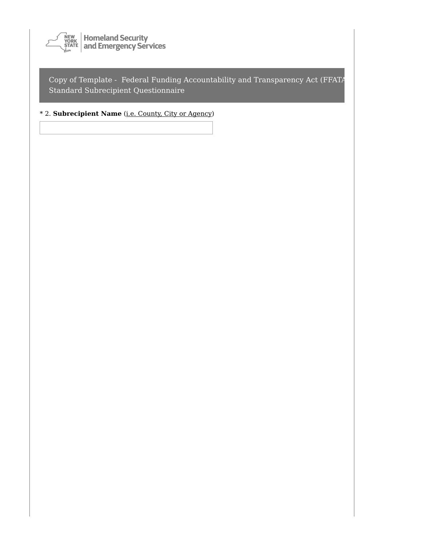

## \* 2. **Subrecipient Name** (i.e. County, City or Agency)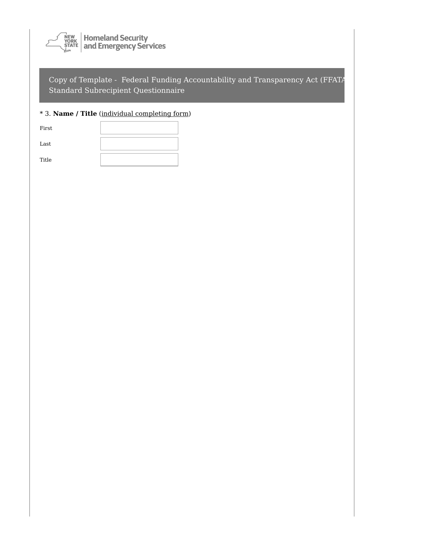

## \* 3. **Name / Title** (individual completing form)

| First |  |
|-------|--|
| Last  |  |
| Title |  |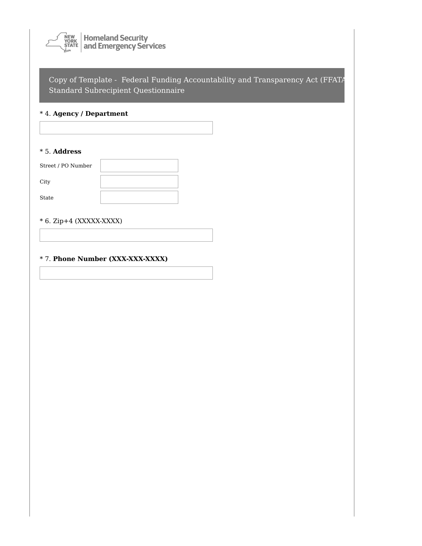

## \* 4. **Agency / Department**

#### \* 5. **Address**

| Street / PO Number |  |
|--------------------|--|
| City               |  |
| State              |  |

#### $*$  6. Zip+4 (XXXXX-XXXX)

#### \* 7. **Phone Number (XXX-XXX-XXXX)**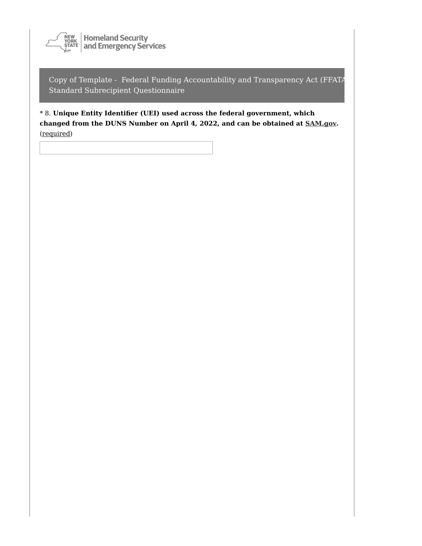

\* 8. **Unique Entity Identifier (UEI) used across the federal government, which changed from the DUNS Number on April 4, 2022, and can be obtained at [SAM.gov](https://sam.gov/content/home).** (required)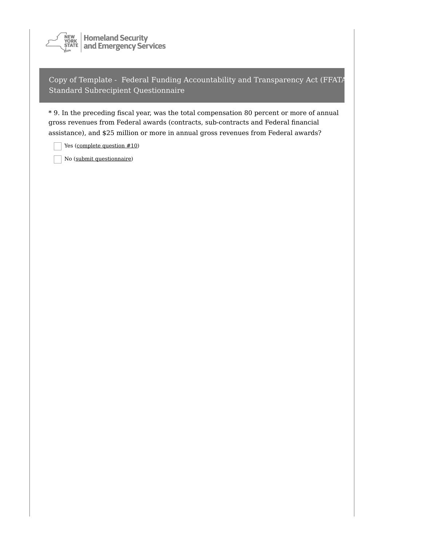

\* 9. In the preceding fiscal year, was the total compensation 80 percent or more of annual gross revenues from Federal awards (contracts, sub-contracts and Federal financial assistance), and \$25 million or more in annual gross revenues from Federal awards?

Yes (complete question #10)

No (submit questionnaire)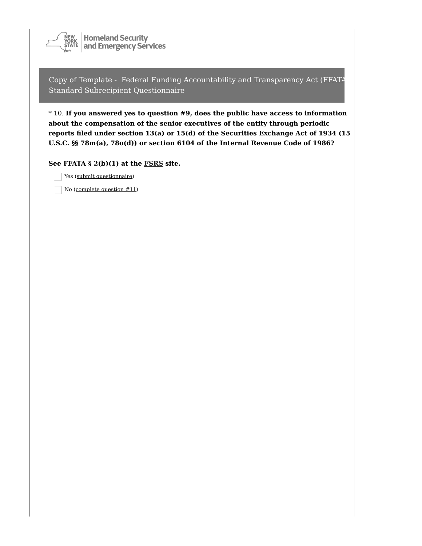

\* 10. **If you answered yes to question #9, does the public have access to information about the compensation of the senior executives of the entity through periodic reports filed under section 13(a) or 15(d) of the Securities Exchange Act of 1934 (15 U.S.C. §§ 78m(a), 78o(d)) or section 6104 of the Internal Revenue Code of 1986?**

**See FFATA § 2(b)(1) at the [FSRS](https://www.fsrs.gov/index?) site.**

Yes (submit questionnaire)

No (complete question #11)